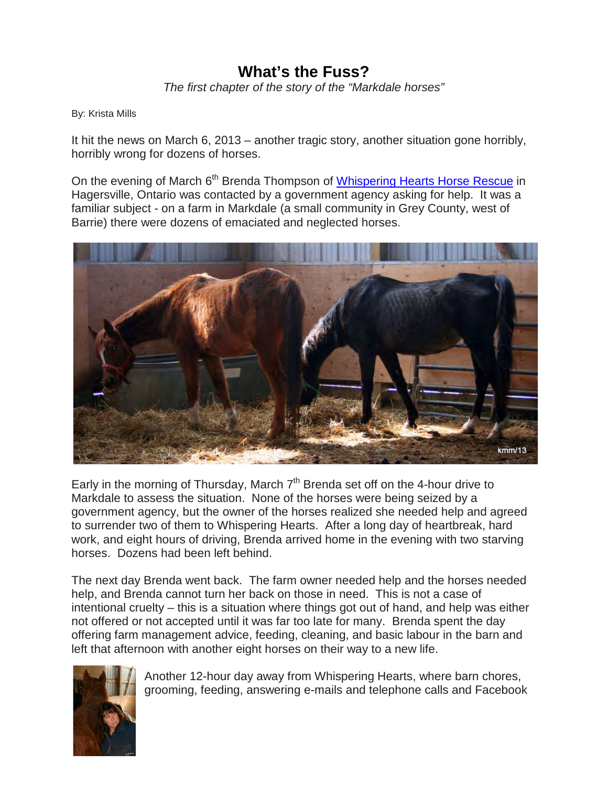## **What's the Fuss?**

*The first chapter of the story of the "Markdale horses"*

By: Krista Mills

It hit the news on March 6, 2013 – another tragic story, another situation gone horribly, horribly wrong for dozens of horses.

On the evening of March 6<sup>th</sup> Brenda Thompson of [Whispering Hearts Horse Rescue](http://www.whhrescue.com/) in Hagersville, Ontario was contacted by a government agency asking for help. It was a familiar subject - on a farm in Markdale (a small community in Grey County, west of Barrie) there were dozens of emaciated and neglected horses.



Early in the morning of Thursday, March  $7<sup>th</sup>$  Brenda set off on the 4-hour drive to Markdale to assess the situation. None of the horses were being seized by a government agency, but the owner of the horses realized she needed help and agreed to surrender two of them to Whispering Hearts. After a long day of heartbreak, hard work, and eight hours of driving, Brenda arrived home in the evening with two starving horses. Dozens had been left behind.

The next day Brenda went back. The farm owner needed help and the horses needed help, and Brenda cannot turn her back on those in need. This is not a case of intentional cruelty – this is a situation where things got out of hand, and help was either not offered or not accepted until it was far too late for many. Brenda spent the day offering farm management advice, feeding, cleaning, and basic labour in the barn and left that afternoon with another eight horses on their way to a new life.



Another 12-hour day away from Whispering Hearts, where barn chores, grooming, feeding, answering e-mails and telephone calls and Facebook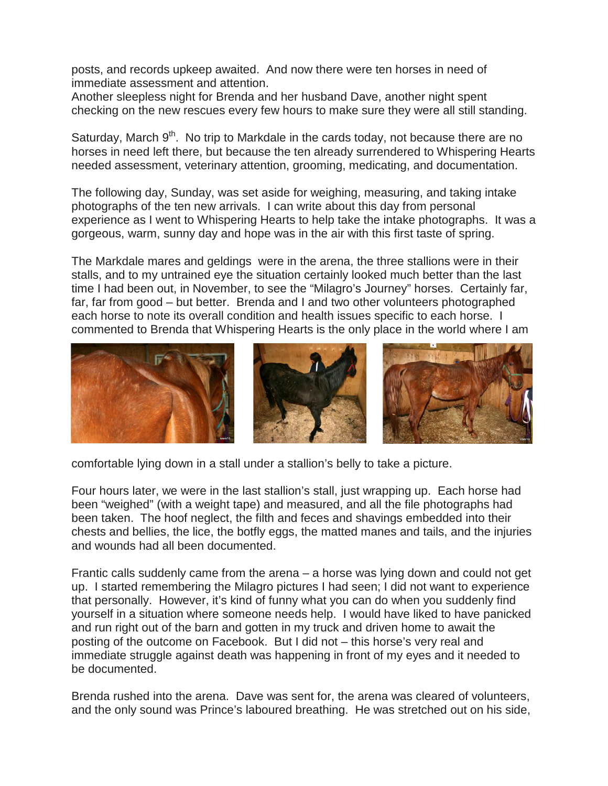posts, and records upkeep awaited. And now there were ten horses in need of immediate assessment and attention.

Another sleepless night for Brenda and her husband Dave, another night spent checking on the new rescues every few hours to make sure they were all still standing.

Saturday, March  $9<sup>th</sup>$ . No trip to Markdale in the cards today, not because there are no horses in need left there, but because the ten already surrendered to Whispering Hearts needed assessment, veterinary attention, grooming, medicating, and documentation.

The following day, Sunday, was set aside for weighing, measuring, and taking intake photographs of the ten new arrivals. I can write about this day from personal experience as I went to Whispering Hearts to help take the intake photographs. It was a gorgeous, warm, sunny day and hope was in the air with this first taste of spring.

The Markdale mares and geldings were in the arena, the three stallions were in their stalls, and to my untrained eye the situation certainly looked much better than the last time I had been out, in November, to see the "Milagro's Journey" horses. Certainly far, far, far from good – but better. Brenda and I and two other volunteers photographed each horse to note its overall condition and health issues specific to each horse. I commented to Brenda that Whispering Hearts is the only place in the world where I am



comfortable lying down in a stall under a stallion's belly to take a picture.

Four hours later, we were in the last stallion's stall, just wrapping up. Each horse had been "weighed" (with a weight tape) and measured, and all the file photographs had been taken. The hoof neglect, the filth and feces and shavings embedded into their chests and bellies, the lice, the botfly eggs, the matted manes and tails, and the injuries and wounds had all been documented.

Frantic calls suddenly came from the arena – a horse was lying down and could not get up. I started remembering the Milagro pictures I had seen; I did not want to experience that personally. However, it's kind of funny what you can do when you suddenly find yourself in a situation where someone needs help. I would have liked to have panicked and run right out of the barn and gotten in my truck and driven home to await the posting of the outcome on Facebook. But I did not – this horse's very real and immediate struggle against death was happening in front of my eyes and it needed to be documented.

Brenda rushed into the arena. Dave was sent for, the arena was cleared of volunteers, and the only sound was Prince's laboured breathing. He was stretched out on his side,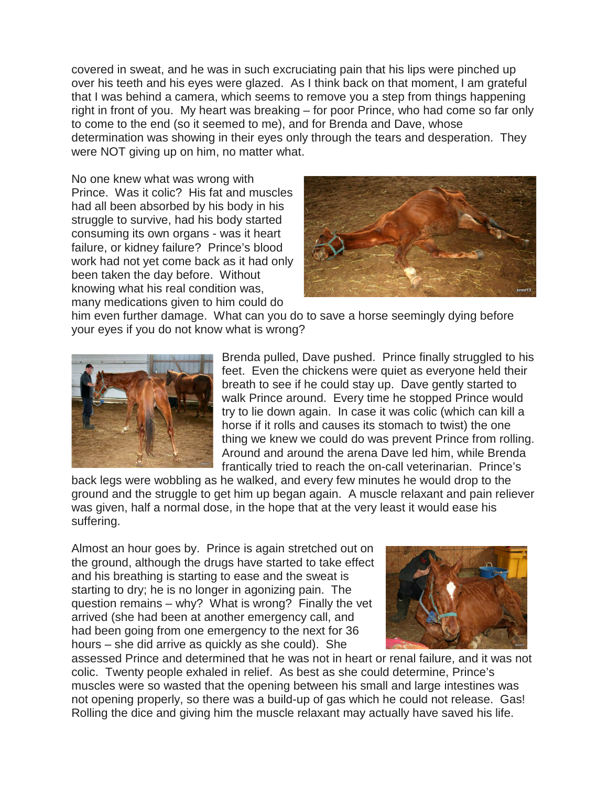covered in sweat, and he was in such excruciating pain that his lips were pinched up over his teeth and his eyes were glazed. As I think back on that moment, I am grateful that I was behind a camera, which seems to remove you a step from things happening right in front of you. My heart was breaking – for poor Prince, who had come so far only to come to the end (so it seemed to me), and for Brenda and Dave, whose determination was showing in their eyes only through the tears and desperation. They were NOT giving up on him, no matter what.

No one knew what was wrong with Prince. Was it colic? His fat and muscles had all been absorbed by his body in his struggle to survive, had his body started consuming its own organs - was it heart failure, or kidney failure? Prince's blood work had not yet come back as it had only been taken the day before. Without knowing what his real condition was, many medications given to him could do



him even further damage. What can you do to save a horse seemingly dying before your eyes if you do not know what is wrong?



Brenda pulled, Dave pushed. Prince finally struggled to his feet. Even the chickens were quiet as everyone held their breath to see if he could stay up. Dave gently started to walk Prince around. Every time he stopped Prince would try to lie down again. In case it was colic (which can kill a horse if it rolls and causes its stomach to twist) the one thing we knew we could do was prevent Prince from rolling. Around and around the arena Dave led him, while Brenda frantically tried to reach the on-call veterinarian. Prince's

back legs were wobbling as he walked, and every few minutes he would drop to the ground and the struggle to get him up began again. A muscle relaxant and pain reliever was given, half a normal dose, in the hope that at the very least it would ease his suffering.

Almost an hour goes by. Prince is again stretched out on the ground, although the drugs have started to take effect and his breathing is starting to ease and the sweat is starting to dry; he is no longer in agonizing pain. The question remains – why? What is wrong? Finally the vet arrived (she had been at another emergency call, and had been going from one emergency to the next for 36 hours – she did arrive as quickly as she could). She



assessed Prince and determined that he was not in heart or renal failure, and it was not colic. Twenty people exhaled in relief. As best as she could determine, Prince's muscles were so wasted that the opening between his small and large intestines was not opening properly, so there was a build-up of gas which he could not release. Gas! Rolling the dice and giving him the muscle relaxant may actually have saved his life.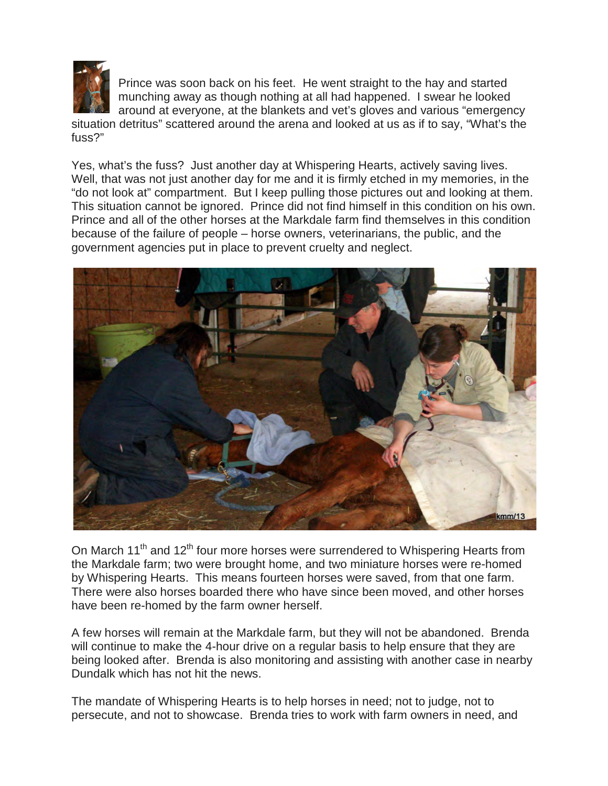

Prince was soon back on his feet. He went straight to the hay and started munching away as though nothing at all had happened. I swear he looked around at everyone, at the blankets and vet's gloves and various "emergency

situation detritus" scattered around the arena and looked at us as if to say, "What's the fuss?"

Yes, what's the fuss? Just another day at Whispering Hearts, actively saving lives. Well, that was not just another day for me and it is firmly etched in my memories, in the "do not look at" compartment. But I keep pulling those pictures out and looking at them. This situation cannot be ignored. Prince did not find himself in this condition on his own. Prince and all of the other horses at the Markdale farm find themselves in this condition because of the failure of people – horse owners, veterinarians, the public, and the government agencies put in place to prevent cruelty and neglect.



On March 11<sup>th</sup> and 12<sup>th</sup> four more horses were surrendered to Whispering Hearts from the Markdale farm; two were brought home, and two miniature horses were re-homed by Whispering Hearts. This means fourteen horses were saved, from that one farm. There were also horses boarded there who have since been moved, and other horses have been re-homed by the farm owner herself.

A few horses will remain at the Markdale farm, but they will not be abandoned. Brenda will continue to make the 4-hour drive on a regular basis to help ensure that they are being looked after. Brenda is also monitoring and assisting with another case in nearby Dundalk which has not hit the news.

The mandate of Whispering Hearts is to help horses in need; not to judge, not to persecute, and not to showcase. Brenda tries to work with farm owners in need, and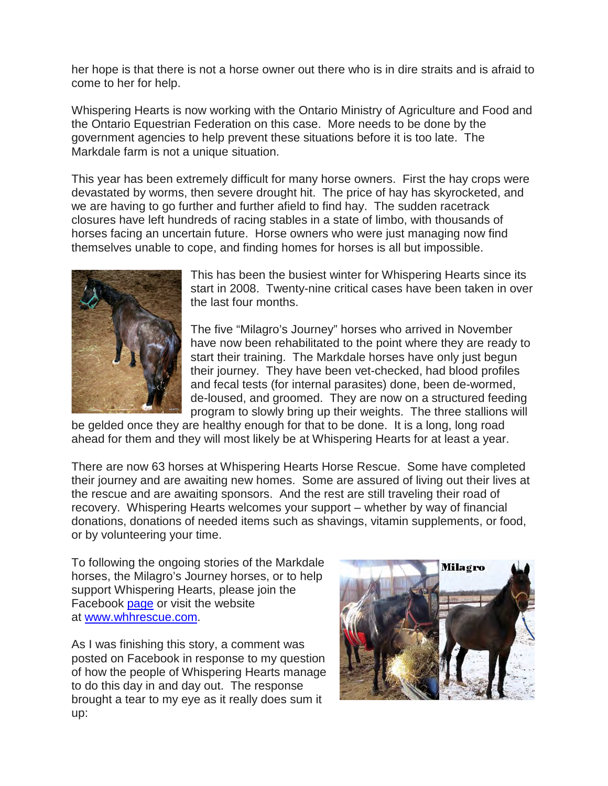her hope is that there is not a horse owner out there who is in dire straits and is afraid to come to her for help.

Whispering Hearts is now working with the Ontario Ministry of Agriculture and Food and the Ontario Equestrian Federation on this case. More needs to be done by the government agencies to help prevent these situations before it is too late. The Markdale farm is not a unique situation.

This year has been extremely difficult for many horse owners. First the hay crops were devastated by worms, then severe drought hit. The price of hay has skyrocketed, and we are having to go further and further afield to find hay. The sudden racetrack closures have left hundreds of racing stables in a state of limbo, with thousands of horses facing an uncertain future. Horse owners who were just managing now find themselves unable to cope, and finding homes for horses is all but impossible.



This has been the busiest winter for Whispering Hearts since its start in 2008. Twenty-nine critical cases have been taken in over the last four months.

The five "Milagro's Journey" horses who arrived in November have now been rehabilitated to the point where they are ready to start their training. The Markdale horses have only just begun their journey. They have been vet-checked, had blood profiles and fecal tests (for internal parasites) done, been de-wormed, de-loused, and groomed. They are now on a structured feeding program to slowly bring up their weights. The three stallions will

be gelded once they are healthy enough for that to be done. It is a long, long road ahead for them and they will most likely be at Whispering Hearts for at least a year.

There are now 63 horses at Whispering Hearts Horse Rescue. Some have completed their journey and are awaiting new homes. Some are assured of living out their lives at the rescue and are awaiting sponsors. And the rest are still traveling their road of recovery. Whispering Hearts welcomes your support – whether by way of financial donations, donations of needed items such as shavings, vitamin supplements, or food, or by volunteering your time.

To following the ongoing stories of the Markdale horses, the Milagro's Journey horses, or to help support Whispering Hearts, please join the Facebook [page](https://www.facebook.com/%23!/groups/25909115447/) or visit the website at [www.whhrescue.com.](http://www.whhrescue.com/)

As I was finishing this story, a comment was posted on Facebook in response to my question of how the people of Whispering Hearts manage to do this day in and day out. The response brought a tear to my eye as it really does sum it up: